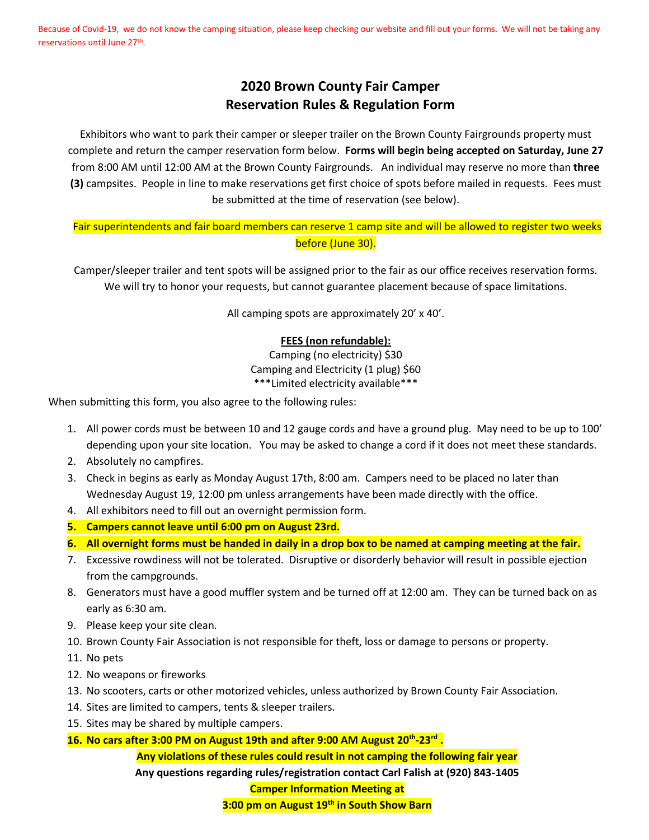Because of Covid-19, we do not know the camping situation, please keep checking our website and fill out your forms. We will not be taking any reservations until June 27<sup>th</sup>.

## **2020 Brown County Fair Camper Reservation Rules & Regulation Form**

Exhibitors who want to park their camper or sleeper trailer on the Brown County Fairgrounds property must complete and return the camper reservation form below. **Forms will begin being accepted on Saturday, June 27** from 8:00 AM until 12:00 AM at the Brown County Fairgrounds. An individual may reserve no more than **three (3)** campsites. People in line to make reservations get first choice of spots before mailed in requests. Fees must be submitted at the time of reservation (see below).

## Fair superintendents and fair board members can reserve 1 camp site and will be allowed to register two weeks before (June 30).

Camper/sleeper trailer and tent spots will be assigned prior to the fair as our office receives reservation forms. We will try to honor your requests, but cannot guarantee placement because of space limitations.

All camping spots are approximately 20' x 40'.

## **FEES (non refundable):**

Camping (no electricity) \$30 Camping and Electricity (1 plug) \$60 \*\*\*Limited electricity available\*\*\*

When submitting this form, you also agree to the following rules:

- 1. All power cords must be between 10 and 12 gauge cords and have a ground plug. May need to be up to 100' depending upon your site location. You may be asked to change a cord if it does not meet these standards.
- 2. Absolutely no campfires.
- 3. Check in begins as early as Monday August 17th, 8:00 am. Campers need to be placed no later than Wednesday August 19, 12:00 pm unless arrangements have been made directly with the office.
- 4. All exhibitors need to fill out an overnight permission form.
- **5. Campers cannot leave until 6:00 pm on August 23rd.**
- **6. All overnight forms must be handed in daily in a drop box to be named at camping meeting at the fair.**
- 7. Excessive rowdiness will not be tolerated. Disruptive or disorderly behavior will result in possible ejection from the campgrounds.
- 8. Generators must have a good muffler system and be turned off at 12:00 am. They can be turned back on as early as 6:30 am.
- 9. Please keep your site clean.
- 10. Brown County Fair Association is not responsible for theft, loss or damage to persons or property.
- 11. No pets
- 12. No weapons or fireworks
- 13. No scooters, carts or other motorized vehicles, unless authorized by Brown County Fair Association.
- 14. Sites are limited to campers, tents & sleeper trailers.
- 15. Sites may be shared by multiple campers.
- **16. No cars after 3:00 PM on August 19th and after 9:00 AM August 20th -23 rd .**

**Any violations of these rules could result in not camping the following fair year Any questions regarding rules/registration contact Carl Falish at (920) 843-1405**

**Camper Information Meeting at** 

**3:00 pm on August 19th in South Show Barn**